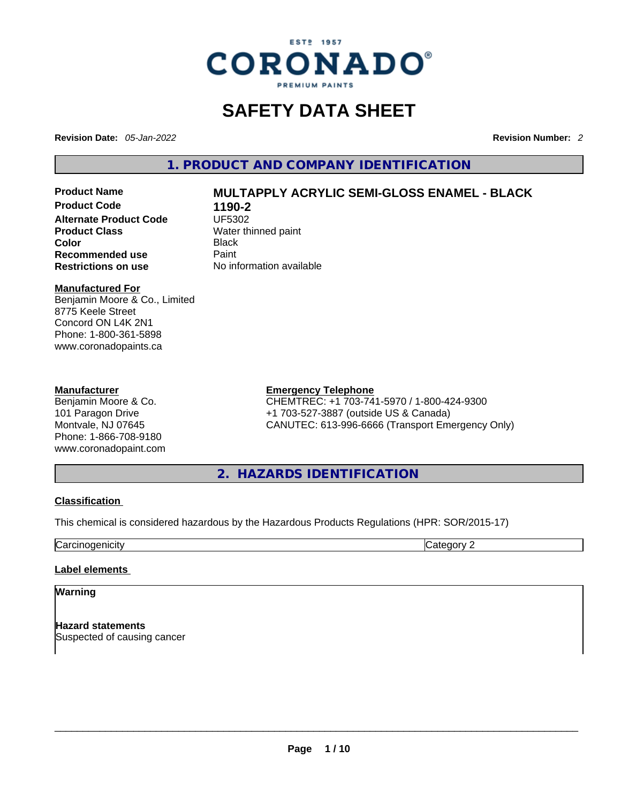

# **SAFETY DATA SHEET**

**Revision Date:** *05-Jan-2022* **Revision Number:** *2*

**1. PRODUCT AND COMPANY IDENTIFICATION** 

**Product Code 1190-2 Alternate Product Code Product Class Water thinned paint**<br> **Color** Black **Color** Black **Recommended use Faint Paint<br>
<b>Restrictions on use** Mo information available **Restrictions** on use

# **Product Name MULTAPPLY ACRYLIC SEMI-GLOSS ENAMEL - BLACK**

#### **Manufactured For**

Benjamin Moore & Co., Limited 8775 Keele Street Concord ON L4K 2N1 Phone: 1-800-361-5898 www.coronadopaints.ca

#### **Manufacturer**

Benjamin Moore & Co. 101 Paragon Drive Montvale, NJ 07645 Phone: 1-866-708-9180 www.coronadopaint.com

### **Emergency Telephone**

CHEMTREC: +1 703-741-5970 / 1-800-424-9300 +1 703-527-3887 (outside US & Canada) CANUTEC: 613-996-6666 (Transport Emergency Only)

**2. HAZARDS IDENTIFICATION** 

#### **Classification**

This chemical is considered hazardous by the Hazardous Products Regulations (HPR: SOR/2015-17)

**Carcinogenicity** Category 2

### **Label elements**

**Warning** 

**Hazard statements** Suspected of causing cancer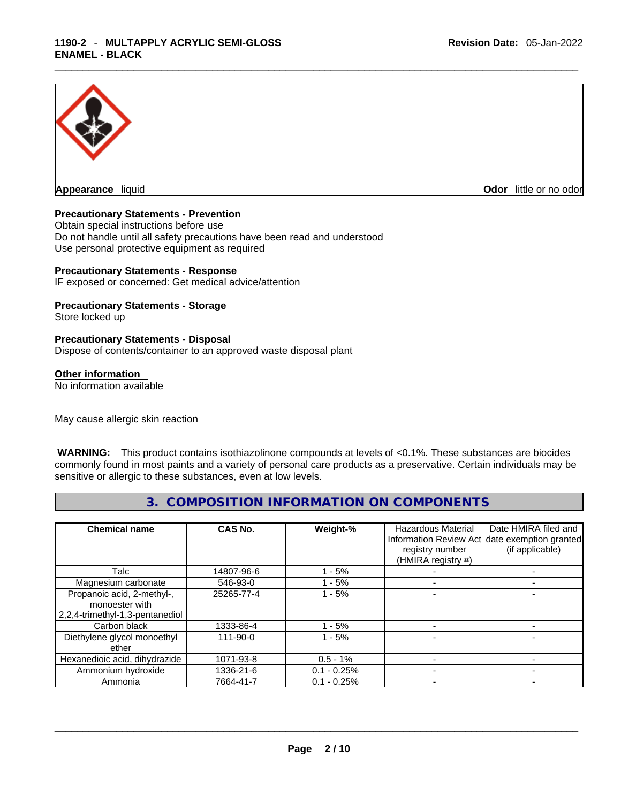

**Appearance** liquid **Odor 11** and **Odor 11** and **Odor 11** and **Odor 11** and **Odor 11** and **Odor** 11 and **Odor** 11 and **Odor** 11 and **Odor** 11 and **Odor** 11 and **Odor** 11 and **Odor** 11 and **Odor** 11 and **Odor** 11 and **Odor** 

#### **Precautionary Statements - Prevention**

Obtain special instructions before use Do not handle until all safety precautions have been read and understood Use personal protective equipment as required

#### **Precautionary Statements - Response**

IF exposed or concerned: Get medical advice/attention

# **Precautionary Statements - Storage**

Store locked up

#### **Precautionary Statements - Disposal**

Dispose of contents/container to an approved waste disposal plant

#### **Other information**

No information available

May cause allergic skin reaction

 **WARNING:** This product contains isothiazolinone compounds at levels of <0.1%. These substances are biocides commonly found in most paints and a variety of personal care products as a preservative. Certain individuals may be sensitive or allergic to these substances, even at low levels.

# **3. COMPOSITION INFORMATION ON COMPONENTS**

| <b>Chemical name</b>                                                            | CAS No.        | Weight-%      | Hazardous Material<br>registry number<br>(HMIRA registry #) | Date HMIRA filed and<br>Information Review Act date exemption granted<br>(if applicable) |
|---------------------------------------------------------------------------------|----------------|---------------|-------------------------------------------------------------|------------------------------------------------------------------------------------------|
| Talc                                                                            | 14807-96-6     | - 5%          |                                                             |                                                                                          |
| Magnesium carbonate                                                             | 546-93-0       | - 5%          |                                                             |                                                                                          |
| Propanoic acid, 2-methyl-,<br>monoester with<br>2,2,4-trimethyl-1,3-pentanediol | 25265-77-4     | $-5%$         |                                                             |                                                                                          |
| Carbon black                                                                    | 1333-86-4      | $-5%$         |                                                             |                                                                                          |
| Diethylene glycol monoethyl<br>ether                                            | $111 - 90 - 0$ | $1 - 5%$      |                                                             |                                                                                          |
| Hexanedioic acid, dihydrazide                                                   | 1071-93-8      | $0.5 - 1%$    |                                                             |                                                                                          |
| Ammonium hydroxide                                                              | 1336-21-6      | $0.1 - 0.25%$ |                                                             |                                                                                          |
| Ammonia                                                                         | 7664-41-7      | $0.1 - 0.25%$ |                                                             |                                                                                          |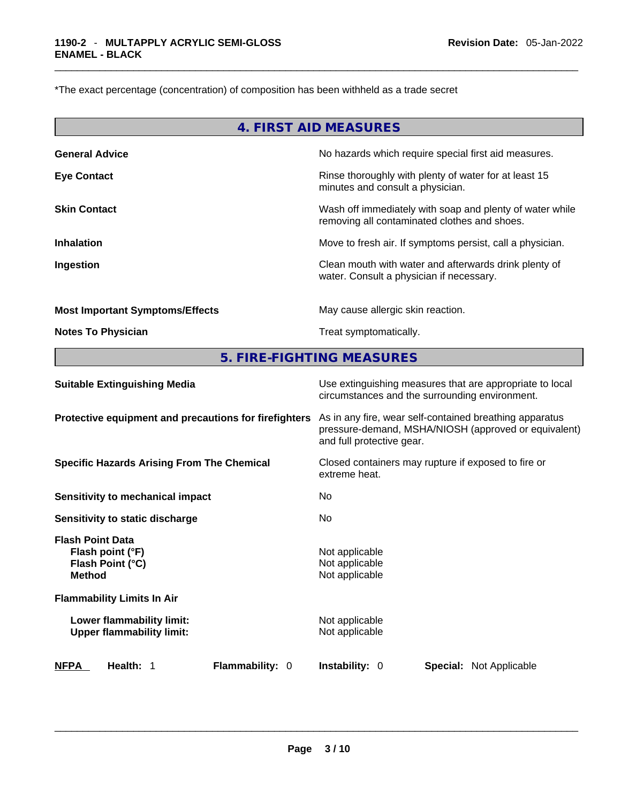\*The exact percentage (concentration) of composition has been withheld as a trade secret

|                                        | 4. FIRST AID MEASURES                                                                                    |
|----------------------------------------|----------------------------------------------------------------------------------------------------------|
| <b>General Advice</b>                  | No hazards which require special first aid measures.                                                     |
| <b>Eye Contact</b>                     | Rinse thoroughly with plenty of water for at least 15<br>minutes and consult a physician.                |
| <b>Skin Contact</b>                    | Wash off immediately with soap and plenty of water while<br>removing all contaminated clothes and shoes. |
| <b>Inhalation</b>                      | Move to fresh air. If symptoms persist, call a physician.                                                |
| Ingestion                              | Clean mouth with water and afterwards drink plenty of<br>water. Consult a physician if necessary.        |
| <b>Most Important Symptoms/Effects</b> | May cause allergic skin reaction.                                                                        |
| <b>Notes To Physician</b>              | Treat symptomatically.                                                                                   |

**5. FIRE-FIGHTING MEASURES** 

| <b>Suitable Extinguishing Media</b>                                              | Use extinguishing measures that are appropriate to local<br>circumstances and the surrounding environment.                                   |  |  |  |
|----------------------------------------------------------------------------------|----------------------------------------------------------------------------------------------------------------------------------------------|--|--|--|
| Protective equipment and precautions for firefighters                            | As in any fire, wear self-contained breathing apparatus<br>pressure-demand, MSHA/NIOSH (approved or equivalent)<br>and full protective gear. |  |  |  |
| <b>Specific Hazards Arising From The Chemical</b>                                | Closed containers may rupture if exposed to fire or<br>extreme heat.                                                                         |  |  |  |
| Sensitivity to mechanical impact                                                 | No.                                                                                                                                          |  |  |  |
| Sensitivity to static discharge                                                  | No.                                                                                                                                          |  |  |  |
| <b>Flash Point Data</b><br>Flash point (°F)<br>Flash Point (°C)<br><b>Method</b> | Not applicable<br>Not applicable<br>Not applicable                                                                                           |  |  |  |
| <b>Flammability Limits In Air</b>                                                |                                                                                                                                              |  |  |  |
| Lower flammability limit:<br><b>Upper flammability limit:</b>                    | Not applicable<br>Not applicable                                                                                                             |  |  |  |
| Flammability: 0<br><b>NFPA</b><br>Health: 1                                      | <b>Instability: 0</b><br><b>Special:</b> Not Applicable                                                                                      |  |  |  |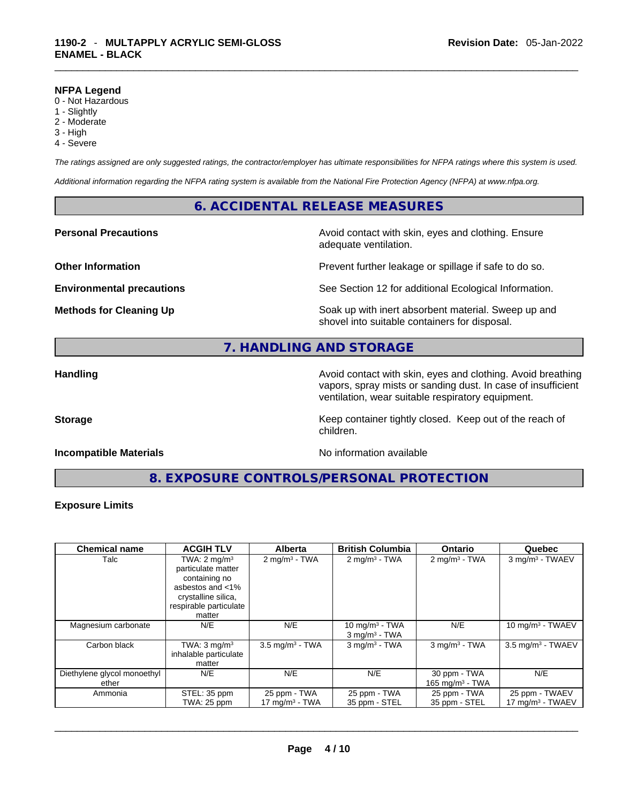#### **NFPA Legend**

- 0 Not Hazardous
- 1 Slightly
- 2 Moderate
- 3 High
- 4 Severe

*The ratings assigned are only suggested ratings, the contractor/employer has ultimate responsibilities for NFPA ratings where this system is used.* 

*Additional information regarding the NFPA rating system is available from the National Fire Protection Agency (NFPA) at www.nfpa.org.* 

# **6. ACCIDENTAL RELEASE MEASURES**

**Personal Precautions Avoid contact with skin, eyes and clothing. Ensure Personal Precautions** adequate ventilation.

**Other Information Discription Prevent further leakage or spillage if safe to do so.** 

**Environmental precautions** See Section 12 for additional Ecological Information.

**Methods for Cleaning Up Example 20 Soak** up with inert absorbent material. Sweep up and shovel into suitable containers for disposal.

# **7. HANDLING AND STORAGE**

**Handling Handling Avoid contact with skin, eyes and clothing. Avoid breathing** vapors, spray mists or sanding dust. In case of insufficient ventilation, wear suitable respiratory equipment.

**Storage Keep container tightly closed. Keep out of the reach of Keep** container tightly closed. Keep out of the reach of

#### **Incompatible Materials No information available No** information available

**8. EXPOSURE CONTROLS/PERSONAL PROTECTION** 

children.

#### **Exposure Limits**

| <b>Chemical name</b>                 | <b>ACGIH TLV</b>                                                                                                                              | <b>Alberta</b>                    | <b>British Columbia</b>                          | <b>Ontario</b>                     | Quebec                                        |
|--------------------------------------|-----------------------------------------------------------------------------------------------------------------------------------------------|-----------------------------------|--------------------------------------------------|------------------------------------|-----------------------------------------------|
| Talc                                 | TWA: $2 \text{ mg/m}^3$<br>particulate matter<br>containing no<br>asbestos and <1%<br>crystalline silica,<br>respirable particulate<br>matter | $2 \text{ mg/m}^3$ - TWA          | $2 \text{ mg/m}^3$ - TWA                         | $2 \text{ mg/m}^3$ - TWA           | 3 mg/m <sup>3</sup> - TWAEV                   |
| Magnesium carbonate                  | N/E                                                                                                                                           | N/E                               | 10 mg/m $3$ - TWA<br>$3$ mg/m <sup>3</sup> - TWA | N/E                                | 10 mg/m $3$ - TWAEV                           |
| Carbon black                         | TWA: $3 \text{ mq/m}^3$<br>inhalable particulate<br>matter                                                                                    | $3.5 \text{ mg/m}^3$ - TWA        | $3$ mg/m $3$ - TWA                               | $3$ mg/m <sup>3</sup> - TWA        | $3.5 \text{ mg/m}^3$ - TWAEV                  |
| Diethylene glycol monoethyl<br>ether | N/E                                                                                                                                           | N/E                               | N/E                                              | 30 ppm - TWA<br>165 mg/m $3$ - TWA | N/E                                           |
| Ammonia                              | STEL: 35 ppm<br><b>TWA: 25 ppm</b>                                                                                                            | 25 ppm - TWA<br>17 mg/m $3$ - TWA | 25 ppm - TWA<br>35 ppm - STEL                    | 25 ppm - TWA<br>35 ppm - STEL      | 25 ppm - TWAEV<br>$17 \text{ mg/m}^3$ - TWAEV |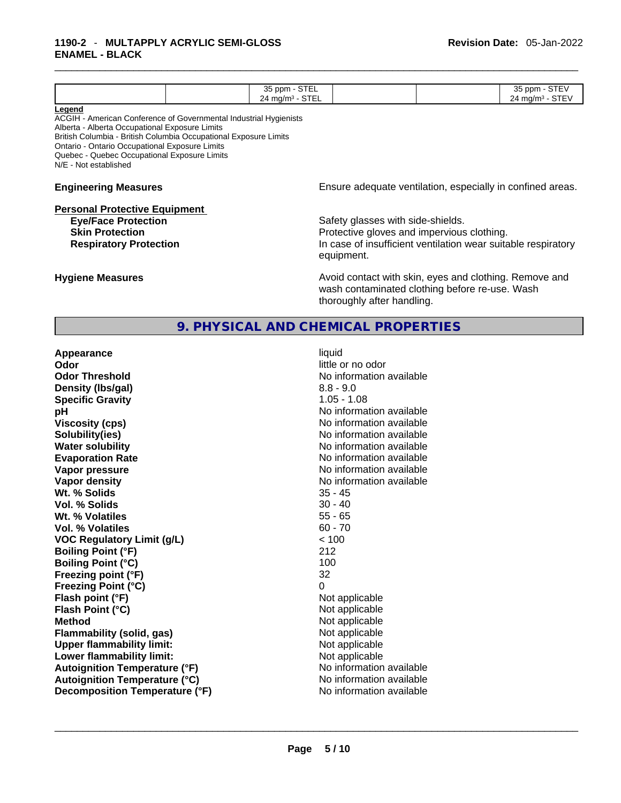|                                                                   | 35 ppm - STEL              |                                                               | 35 ppm - STEV              |
|-------------------------------------------------------------------|----------------------------|---------------------------------------------------------------|----------------------------|
|                                                                   | $24 \text{ mg/m}^3$ - STEL |                                                               | $24 \text{ mg/m}^3$ - STEV |
| Legend                                                            |                            |                                                               |                            |
| ACGIH - American Conference of Governmental Industrial Hygienists |                            |                                                               |                            |
| Alberta - Alberta Occupational Exposure Limits                    |                            |                                                               |                            |
| British Columbia - British Columbia Occupational Exposure Limits  |                            |                                                               |                            |
| Ontario - Ontario Occupational Exposure Limits                    |                            |                                                               |                            |
| Quebec - Quebec Occupational Exposure Limits                      |                            |                                                               |                            |
| N/E - Not established                                             |                            |                                                               |                            |
| <b>Engineering Measures</b>                                       |                            | Ensure adequate ventilation, especially in confined areas.    |                            |
|                                                                   |                            |                                                               |                            |
| <b>Personal Protective Equipment</b>                              |                            |                                                               |                            |
| <b>Eye/Face Protection</b>                                        |                            | Safety glasses with side-shields.                             |                            |
| <b>Skin Protection</b>                                            |                            | Protective gloves and impervious clothing.                    |                            |
| <b>Respiratory Protection</b>                                     |                            | In case of insufficient ventilation wear suitable respiratory |                            |
|                                                                   |                            | equipment.                                                    |                            |
|                                                                   |                            |                                                               |                            |
| <b>Hygiene Measures</b>                                           |                            | Avoid contact with skin, eyes and clothing. Remove and        |                            |
|                                                                   |                            | wash contaminated clothing before re-use. Wash                |                            |
|                                                                   |                            |                                                               |                            |
|                                                                   |                            | thoroughly after handling.                                    |                            |

**9. PHYSICAL AND CHEMICAL PROPERTIES** 

**Appearance** liquid **Odor Odor Odor Odor Odor Odor Odor** *little or no odor* **Odor Threshold** No information available **Density** (Ibs/gal) 8.8 - 9.0 **Specific Gravity** 1.05 - 1.08 **pH pH 1 Viscosity (cps)** No information available **Water solubility Water solubility Water solubility No information available Evaporation Rate No information available No information available Vapor pressure No information available No information available Vapor density No information available No information available Wt. % Solids** 35 - 45 **Vol. % Solids Wt. % Volatiles** 55 - 65 **Vol. % Volatiles** 60 - 70 **VOC Regulatory Limit (g/L)**  $\le$  100<br> **Boiling Point (°F)** 212 **Boiling Point (°F)** 212 **Boiling Point (°C)** 100<br>**Freezing point (°F)** 32 **Freezing point (°F) Freezing Point (°C)** 0 **Flash point (°F)**<br> **Flash Point (°C)**<br> **Flash Point (°C)**<br> **Compare Server All Alta Annual Mothematic Not applicable Flash Point (°C) Method**<br> **Plammability (solid, gas)**<br> **Plammability (solid, gas)**<br> **Not** applicable **Flammability (solid, gas)**<br> **Upper flammability limit:**<br>
Upper flammability limit: **Upper flammability limit: Lower flammability limit:** Not applicable **Autoignition Temperature (°F)** No information available **Autoignition Temperature (°C)** No information available **Decomposition Temperature (°F)** No information available \_\_\_\_\_\_\_\_\_\_\_\_\_\_\_\_\_\_\_\_\_\_\_\_\_\_\_\_\_\_\_\_\_\_\_\_\_\_\_\_\_\_\_\_\_\_\_\_\_\_\_\_\_\_\_\_\_\_\_\_\_\_\_\_\_\_\_\_\_\_\_\_\_\_\_\_\_\_\_\_\_\_\_\_\_\_\_\_\_\_\_\_\_

**Solubility(ies)** No information available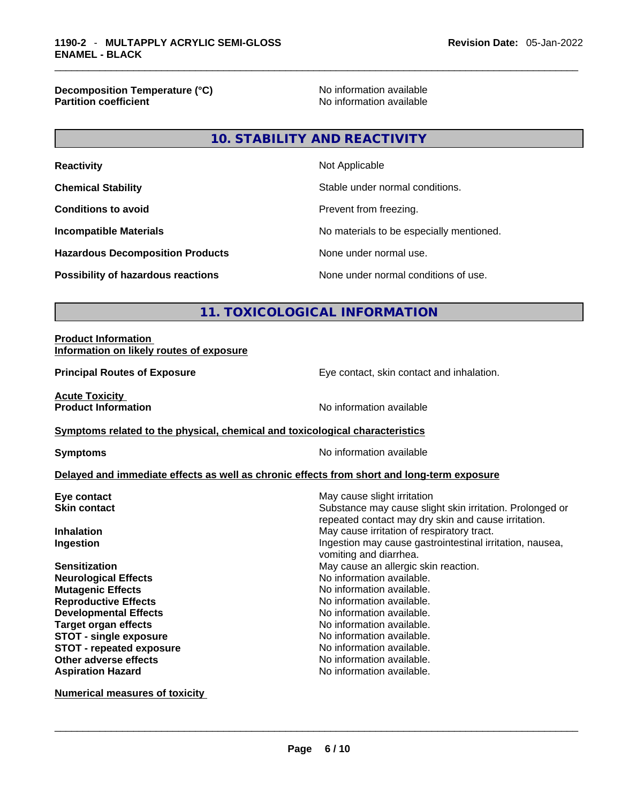**Decomposition Temperature (°C)** No information available **Partition coefficient** 

**10. STABILITY AND REACTIVITY** 

| <b>Reactivity</b>                         | Not Applicable                           |
|-------------------------------------------|------------------------------------------|
| <b>Chemical Stability</b>                 | Stable under normal conditions.          |
| <b>Conditions to avoid</b>                | Prevent from freezing.                   |
| <b>Incompatible Materials</b>             | No materials to be especially mentioned. |
| <b>Hazardous Decomposition Products</b>   | None under normal use.                   |
| <b>Possibility of hazardous reactions</b> | None under normal conditions of use.     |

# **11. TOXICOLOGICAL INFORMATION**

#### **Product Information Information on likely routes of exposure**

**Principal Routes of Exposure Exposure** Eye contact, skin contact and inhalation.

**Acute Toxicity** 

**Product Information** 

#### **Symptoms** related to the physical, chemical and toxicological characteristics

**Symptoms Symptoms No information available** 

#### **Delayed and immediate effects as well as chronic effects from short and long-term exposure**

| May cause slight irritation                                                                                     |
|-----------------------------------------------------------------------------------------------------------------|
| Substance may cause slight skin irritation. Prolonged or<br>repeated contact may dry skin and cause irritation. |
| May cause irritation of respiratory tract.                                                                      |
| Ingestion may cause gastrointestinal irritation, nausea,<br>vomiting and diarrhea.                              |
| May cause an allergic skin reaction.                                                                            |
| No information available.                                                                                       |
| No information available.                                                                                       |
| No information available.                                                                                       |
| No information available.                                                                                       |
| No information available.                                                                                       |
| No information available.                                                                                       |
| No information available.                                                                                       |
| No information available.                                                                                       |
| No information available.                                                                                       |
|                                                                                                                 |

**Numerical measures of toxicity**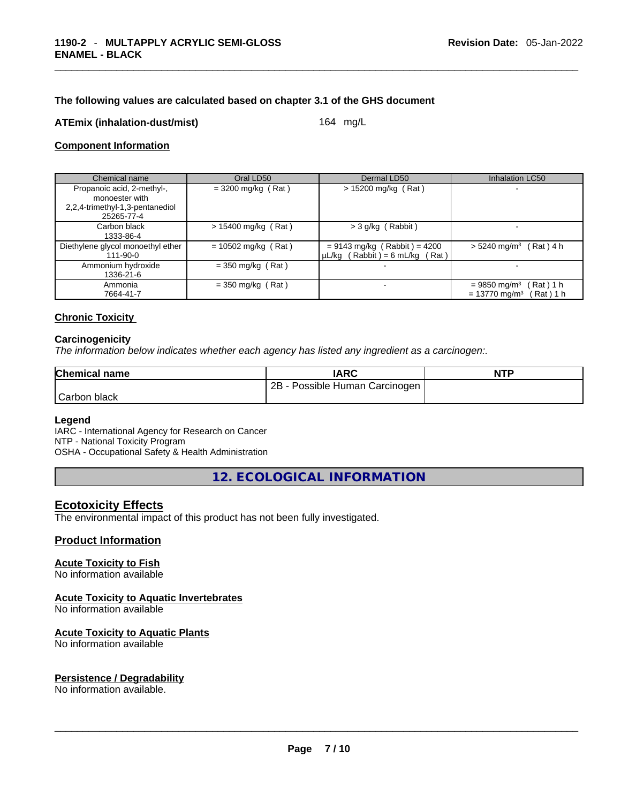#### **The following values are calculated based on chapter 3.1 of the GHS document**

#### **ATEmix (inhalation-dust/mist)** 164 mg/L

#### **Component Information**

| Chemical name                                                                                 | Oral LD50             | Dermal LD50                                                           | Inhalation LC50                                                                     |
|-----------------------------------------------------------------------------------------------|-----------------------|-----------------------------------------------------------------------|-------------------------------------------------------------------------------------|
| Propanoic acid, 2-methyl-,<br>monoester with<br>2,2,4-trimethyl-1,3-pentanediol<br>25265-77-4 | $= 3200$ mg/kg (Rat)  | $> 15200$ mg/kg (Rat)                                                 |                                                                                     |
| Carbon black<br>1333-86-4                                                                     | $> 15400$ mg/kg (Rat) | > 3 g/kg (Rabbit)                                                     |                                                                                     |
| Diethylene glycol monoethyl ether<br>111-90-0                                                 | $= 10502$ mg/kg (Rat) | $= 9143$ mg/kg (Rabbit) = 4200<br>$\mu L/kg$ (Rabbit) = 6 mL/kg (Rat) | $> 5240$ mg/m <sup>3</sup> (Rat) 4 h                                                |
| Ammonium hydroxide<br>1336-21-6                                                               | $=$ 350 mg/kg (Rat)   |                                                                       |                                                                                     |
| Ammonia<br>7664-41-7                                                                          | $=$ 350 mg/kg (Rat)   | $\overline{\phantom{0}}$                                              | Rat ) 1 h<br>$= 9850$ mg/m <sup>3</sup><br>$= 13770$ mg/m <sup>3</sup><br>(Rat) 1 h |

#### **Chronic Toxicity**

#### **Carcinogenicity**

*The information below indicates whether each agency has listed any ingredient as a carcinogen:.* 

| <b>Chemical name</b> | IARC                           | <b>NTP</b> |
|----------------------|--------------------------------|------------|
|                      | 2B - Possible Human Carcinogen |            |
| Carbon black         |                                |            |

#### **Legend**

IARC - International Agency for Research on Cancer NTP - National Toxicity Program OSHA - Occupational Safety & Health Administration

**12. ECOLOGICAL INFORMATION** 

#### **Ecotoxicity Effects**

The environmental impact of this product has not been fully investigated.

### **Product Information**

#### **Acute Toxicity to Fish**

No information available

#### **Acute Toxicity to Aquatic Invertebrates**

No information available

#### **Acute Toxicity to Aquatic Plants**

No information available

# **Persistence / Degradability**

No information available. \_\_\_\_\_\_\_\_\_\_\_\_\_\_\_\_\_\_\_\_\_\_\_\_\_\_\_\_\_\_\_\_\_\_\_\_\_\_\_\_\_\_\_\_\_\_\_\_\_\_\_\_\_\_\_\_\_\_\_\_\_\_\_\_\_\_\_\_\_\_\_\_\_\_\_\_\_\_\_\_\_\_\_\_\_\_\_\_\_\_\_\_\_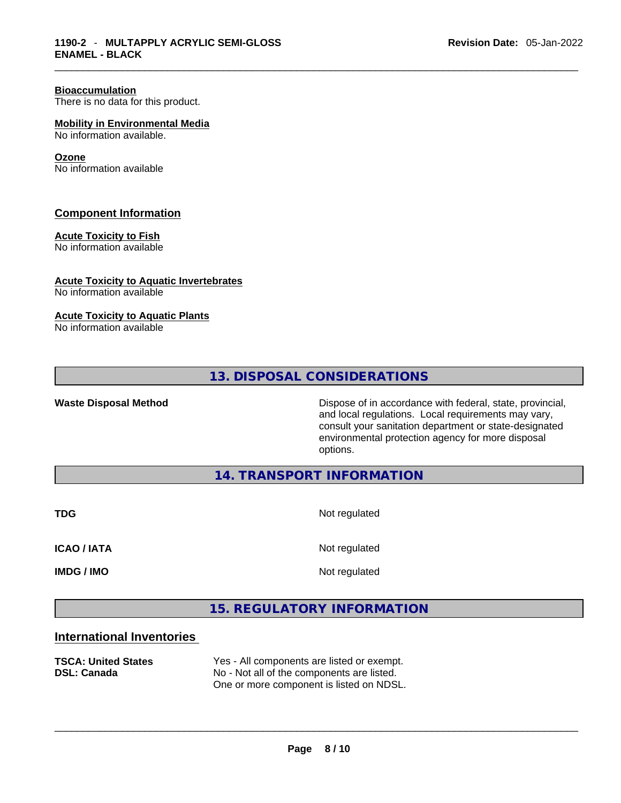#### **Bioaccumulation**

There is no data for this product.

**Mobility in Environmental Media** No information available.

#### **Ozone**

No information available

#### **Component Information**

### **Acute Toxicity to Fish**

No information available

#### **Acute Toxicity to Aquatic Invertebrates**

No information available

#### **Acute Toxicity to Aquatic Plants**

No information available

# **13. DISPOSAL CONSIDERATIONS**

**Waste Disposal Method** Dispose of in accordance with federal, state, provincial, and local regulations. Local requirements may vary, consult your sanitation department or state-designated environmental protection agency for more disposal options.

**14. TRANSPORT INFORMATION** 

**TDG** Not regulated

**ICAO / IATA** Not regulated

**IMDG / IMO** Not regulated

# **15. REGULATORY INFORMATION**

# **International Inventories**

| <b>TSCA: United States</b><br>DSL: Canada | Yes - All components are listed or exempt.<br>No - Not all of the components are listed.<br>One or more component is listed on NDSL. |
|-------------------------------------------|--------------------------------------------------------------------------------------------------------------------------------------|
|                                           |                                                                                                                                      |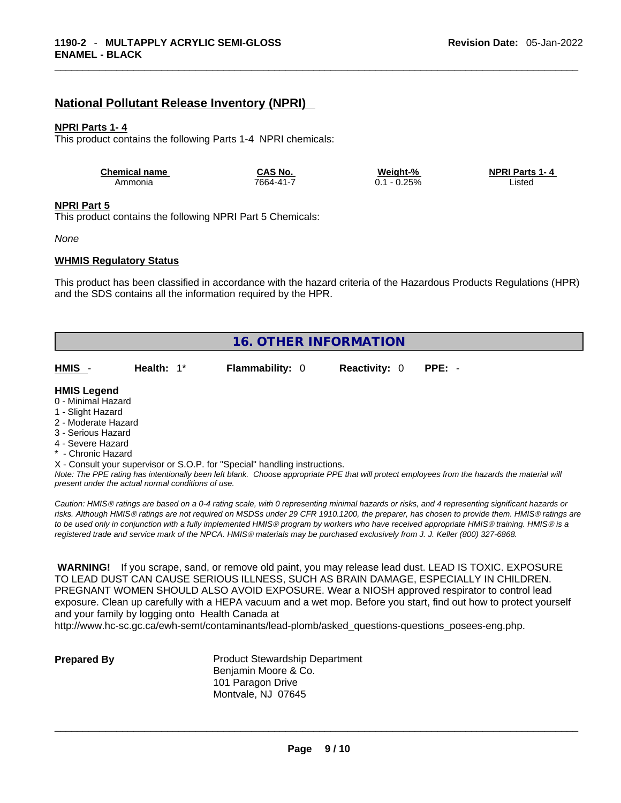# **National Pollutant Release Inventory (NPRI)**

#### **NPRI Parts 1- 4**

This product contains the following Parts 1-4 NPRI chemicals:

| <b>Chemical name</b> | CAS No.   | Weight-% | <b>NPRI Parts 1-4</b> |
|----------------------|-----------|----------|-----------------------|
| Ammonia              | 7664-41-7 | $-0.25%$ | ∟ısted                |

#### **NPRI Part 5**

This product contains the following NPRI Part 5 Chemicals:

*None*

#### **WHMIS Regulatory Status**

This product has been classified in accordance with the hazard criteria of the Hazardous Products Regulations (HPR) and the SDS contains all the information required by the HPR.

|                                                                                                                                                       |                                                    |                                                                            | <b>16. OTHER INFORMATION</b> |                                                                                                                                               |
|-------------------------------------------------------------------------------------------------------------------------------------------------------|----------------------------------------------------|----------------------------------------------------------------------------|------------------------------|-----------------------------------------------------------------------------------------------------------------------------------------------|
|                                                                                                                                                       |                                                    |                                                                            |                              |                                                                                                                                               |
| HMIS -                                                                                                                                                | Health: $1^*$                                      | <b>Flammability: 0</b>                                                     | <b>Reactivity: 0</b>         | $PPE: -$                                                                                                                                      |
| <b>HMIS Legend</b><br>0 - Minimal Hazard<br>1 - Slight Hazard<br>2 - Moderate Hazard<br>3 - Serious Hazard<br>4 - Severe Hazard<br>* - Chronic Hazard | present under the actual normal conditions of use. | X - Consult your supervisor or S.O.P. for "Special" handling instructions. |                              | Note: The PPE rating has intentionally been left blank. Choose appropriate PPE that will protect employees from the hazards the material will |

*Caution: HMISÒ ratings are based on a 0-4 rating scale, with 0 representing minimal hazards or risks, and 4 representing significant hazards or risks. Although HMISÒ ratings are not required on MSDSs under 29 CFR 1910.1200, the preparer, has chosen to provide them. HMISÒ ratings are to be used only in conjunction with a fully implemented HMISÒ program by workers who have received appropriate HMISÒ training. HMISÒ is a registered trade and service mark of the NPCA. HMISÒ materials may be purchased exclusively from J. J. Keller (800) 327-6868.* 

 **WARNING!** If you scrape, sand, or remove old paint, you may release lead dust. LEAD IS TOXIC. EXPOSURE TO LEAD DUST CAN CAUSE SERIOUS ILLNESS, SUCH AS BRAIN DAMAGE, ESPECIALLY IN CHILDREN. PREGNANT WOMEN SHOULD ALSO AVOID EXPOSURE.Wear a NIOSH approved respirator to control lead exposure. Clean up carefully with a HEPA vacuum and a wet mop. Before you start, find out how to protect yourself and your family by logging onto Health Canada at

http://www.hc-sc.gc.ca/ewh-semt/contaminants/lead-plomb/asked\_questions-questions\_posees-eng.php.

**Prepared By Product Stewardship Department** Benjamin Moore & Co. 101 Paragon Drive Montvale, NJ 07645